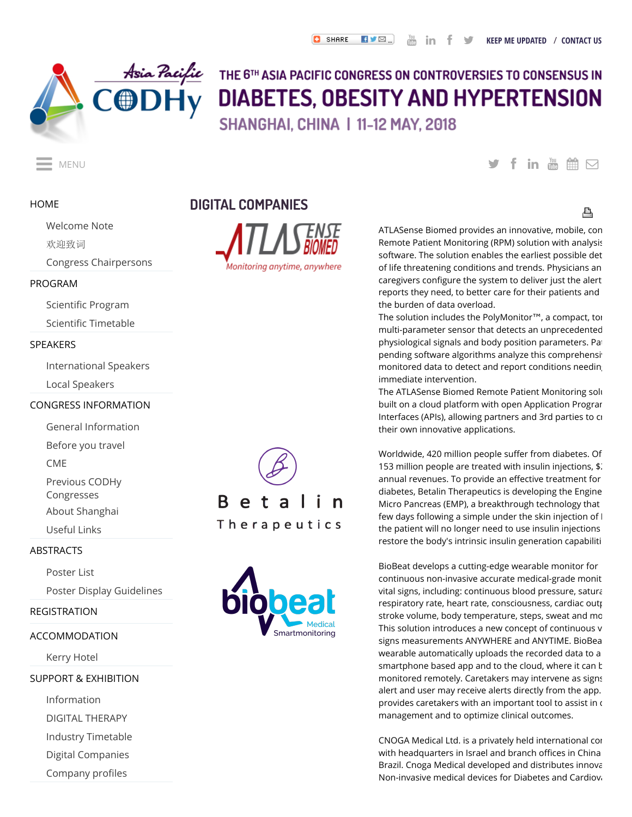

# THE 6TH ASIA PACIFIC CONGRESS ON CONTROVERSIES TO CONSENSUS IN DIABETES, OBESITY AND HYPERTENSION SHANGHAI, CHINA | 11-12 MAY, 2018

### **[HOME](http://www.codhy.com/ap/2018/Default.aspx)**

### [Welcome Note](http://www.codhy.com/ap/2018/WelcomeNote.aspx)

[欢迎致词](http://www.codhy.com/ap/2018/welcome_note.aspx)

[Congress Chairpersons](http://www.codhy.com/ap/2018/Chairpersons.aspx)

#### [PROGRAM](http://www.codhy.com/ap/2018/prog_fri.aspx)

Scientific Program

Scientific Timetable

### [SPEAKERS](http://www.codhy.com/ap/2018/faclist.aspx)

[International Speakers](http://www.codhy.com/ap/2018/faclist.aspx) [Local Speakers](http://www.codhy.com/ap/2018/locfaculty.aspx)

#### [CONGRESS INFORMATION](http://www.codhy.com/ap/2018/general.aspx)

[General Information](http://www.codhy.com/ap/2018/general.aspx)

[Before you travel](http://www.codhy.com/ap/2018/BYT.aspx)

**CMF** 

[Previous CODHy](http://www.codhy.com/ap/2018/previous.aspx)

Congresses

[About Shanghai](http://www.codhy.com/ap/2018/about_shanghai.aspx)

[Useful Links](http://www.codhy.com/ap/2018/previous.aspx)

#### [ABSTRACTS](http://www.codhy.com/ap/2018/abstracts.aspx)

[Poster List](http://www.codhy.com/ap/2018/posterList.aspx)

[Poster Display Guidelines](http://www.codhy.com/ap/2018/Poster.aspx)

#### [REGISTRATION](http://www.codhy.com/ap/2018/Registration.aspx)

#### [ACCOMMODATION](http://www.codhy.com/ap/2018/Accommodation.aspx)

[Kerry Hotel](http://www.codhy.com/ap/2018/hotel.aspx)

#### [SUPPORT & EXHIBITION](http://www.codhy.com/ap/2018/support.aspx)

[Information](http://www.codhy.com/ap/2018/support.aspx) [DIGITAL THERAPY](http://www.codhy.com/ap/2018/prog_dig.aspx) [Industry Timetable](http://www.codhy.com/ap/2018/industry_timetable.aspx) [Digital Companies](http://www.codhy.com/ap/2018/digital_companies.aspx) Company profiles

Monitoring anytime, anywhere

**DIGITAL COMPANIES**





# MENU MENU

## 횹

ATLASense Biomed provides an innovative, mobile, con Remote Patient Monitoring (RPM) solution with analysis software. The solution enables the earliest possible det of life threatening conditions and trends. Physicians an caregivers configure the system to deliver just the alert reports they need, to better care for their patients and the burden of data overload.

The solution includes the PolyMonitor™, a compact, tor multi-parameter sensor that detects an unprecedented physiological signals and body position parameters. Pat pending software algorithms analyze this comprehensiv monitored data to detect and report conditions needing immediate intervention.

The ATLASense Biomed Remote Patient Monitoring solu built on a cloud platform with open Application Program Interfaces (APIs), allowing partners and 3rd parties to cr their own innovative applications.

Worldwide, 420 million people suffer from diabetes. Of 153 million people are treated with insulin injections, \$2 annual revenues. To provide an effective treatment for diabetes, Betalin Therapeutics is developing the Engine Micro Pancreas (EMP), a breakthrough technology that few days following a simple under the skin injection of I the patient will no longer need to use insulin injections restore the body's intrinsic insulin generation capabiliti

BioBeat develops a cutting-edge wearable monitor for continuous non-invasive accurate medical-grade monit vital signs, including: continuous blood pressure, satura respiratory rate, heart rate, consciousness, cardiac outp stroke volume, body temperature, steps, sweat and mo This solution introduces a new concept of continuous v signs measurements ANYWHERE and ANYTIME. BioBea wearable automatically uploads the recorded data to a smartphone based app and to the cloud, where it can  $k$ monitored remotely. Caretakers may intervene as signs alert and user may receive alerts directly from the app. provides caretakers with an important tool to assist in  $\epsilon$ management and to optimize clinical outcomes.

CNOGA Medical Ltd. is a privately held international con with headquarters in Israel and branch offices in China Brazil. Cnoga Medical developed and distributes innova Non-invasive medical devices for Diabetes and Cardiova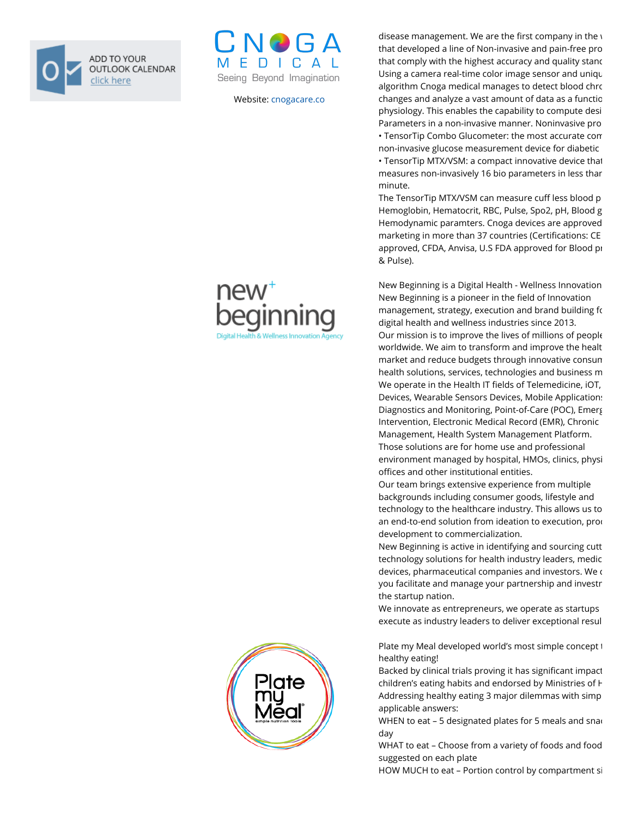



Website: [cnogacare.co](https://cnogacare.co/)

disease management. We are the first company in the  $y$ that developed a line of Non-invasive and pain-free pro that comply with the highest accuracy and quality stand Using a camera real-time color image sensor and uniqu algorithm Cnoga medical manages to detect blood chro changes and analyze a vast amount of data as a functio physiology. This enables the capability to compute desi Parameters in a non-invasive manner. Noninvasive pro • TensorTip Combo Glucometer: the most accurate com non-invasive glucose measurement device for diabetic • TensorTip MTX/VSM: a compact innovative device that measures non-invasively 16 bio parameters in less than minute.

The TensorTip MTX/VSM can measure cuff less blood p Hemoglobin, Hematocrit, RBC, Pulse, Spo2, pH, Blood g Hemodynamic paramters. Cnoga devices are approved marketing in more than 37 countries (Certifications: CE approved, CFDA, Anvisa, U.S FDA approved for Blood pr & Pulse).

New Beginning is a Digital Health - Wellness Innovation New Beginning is a pioneer in the field of Innovation management, strategy, execution and brand building for digital health and wellness industries since 2013. Our mission is to improve the lives of millions of people worldwide. We aim to transform and improve the healt market and reduce budgets through innovative consum health solutions, services, technologies and business m We operate in the Health IT fields of Telemedicine, iOT, Devices, Wearable Sensors Devices, Mobile Applications Diagnostics and Monitoring, Point-of-Care (POC), Emerg Intervention, Electronic Medical Record (EMR), Chronic Management, Health System Management Platform. Those solutions are for home use and professional environment managed by hospital, HMOs, clinics, physi offices and other institutional entities.

Our team brings extensive experience from multiple backgrounds including consumer goods, lifestyle and technology to the healthcare industry. This allows us to an end-to-end solution from ideation to execution, prod development to commercialization.

New Beginning is active in identifying and sourcing cutt technology solutions for health industry leaders, medic devices, pharmaceutical companies and investors. We c you facilitate and manage your partnership and investr the startup nation.

We innovate as entrepreneurs, we operate as startups execute as industry leaders to deliver exceptional resul

Plate my Meal developed world's most simple concept t healthy eating!

Backed by clinical trials proving it has significant impact children's eating habits and endorsed by Ministries of H Addressing healthy eating 3 major dilemmas with simp applicable answers:

WHEN to eat  $-5$  designated plates for 5 meals and snack day

WHAT to eat – Choose from a variety of foods and food suggested on each plate

HOW MUCH to eat – Portion control by compartment si